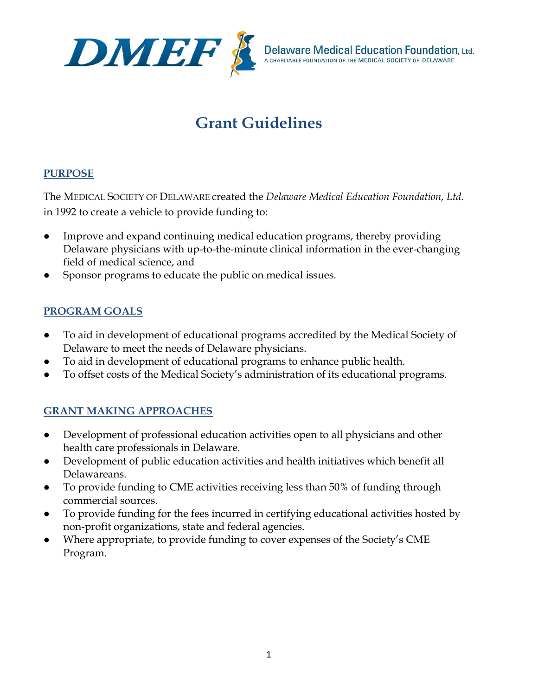

**Delaware Medical Education Foundation, Ltd.**<br>A CHARITABLE FOUNDATION OF THE MEDICAL SOCIETY OF DELAWARE

# **Grant Guidelines**

## **PURPOSE**

The MEDICAL SOCIETY OF DELAWARE created the *Delaware Medical Education Foundation, Ltd.* in 1992 to create a vehicle to provide funding to:

- Improve and expand continuing medical education programs, thereby providing Delaware physicians with up-to-the-minute clinical information in the ever-changing field of medical science, and
- Sponsor programs to educate the public on medical issues.

## **PROGRAM GOALS**

- To aid in development of educational programs accredited by the Medical Society of Delaware to meet the needs of Delaware physicians.
- To aid in development of educational programs to enhance public health.
- To offset costs of the Medical Society's administration of its educational programs.

## **GRANT MAKING APPROACHES**

- Development of professional education activities open to all physicians and other health care professionals in Delaware.
- Development of public education activities and health initiatives which benefit all Delawareans.
- To provide funding to CME activities receiving less than 50% of funding through commercial sources.
- To provide funding for the fees incurred in certifying educational activities hosted by non-profit organizations, state and federal agencies.
- Where appropriate, to provide funding to cover expenses of the Society's CME Program.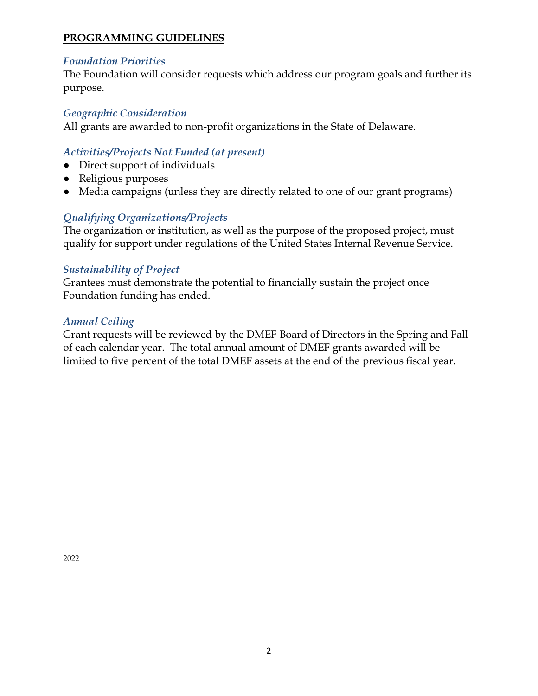## **PROGRAMMING GUIDELINES**

## *Foundation Priorities*

The Foundation will consider requests which address our program goals and further its purpose.

## *Geographic Consideration*

All grants are awarded to non-profit organizations in the State of Delaware.

## *Activities/Projects Not Funded (at present)*

- Direct support of individuals
- Religious purposes
- Media campaigns (unless they are directly related to one of our grant programs)

## *Qualifying Organizations/Projects*

The organization or institution, as well as the purpose of the proposed project, must qualify for support under regulations of the United States Internal Revenue Service.

## *Sustainability of Project*

Grantees must demonstrate the potential to financially sustain the project once Foundation funding has ended.

## *Annual Ceiling*

Grant requests will be reviewed by the DMEF Board of Directors in the Spring and Fall of each calendar year. The total annual amount of DMEF grants awarded will be limited to five percent of the total DMEF assets at the end of the previous fiscal year.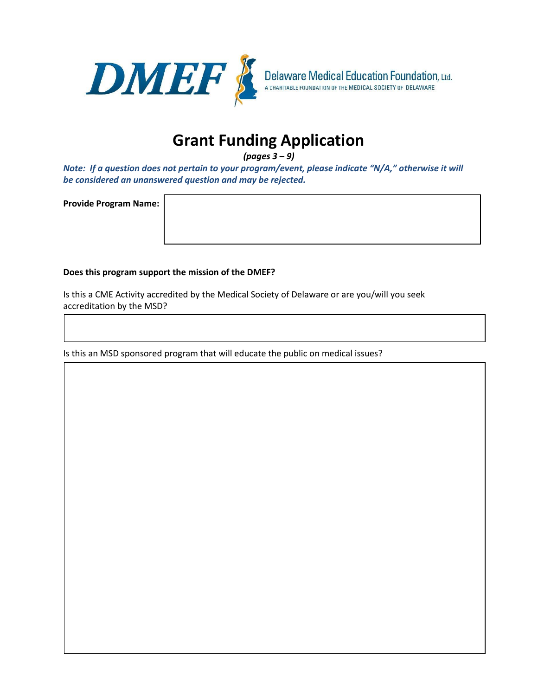

## **Grant Funding Application**

*(pages 3 – 9)*

*Note: If a question does not pertain to your program/event, please indicate "N/A," otherwise it will be considered an unanswered question and may be rejected.*

#### **Provide Program Name:**

#### **Does this program support the mission of the DMEF?**

Is this a CME Activity accredited by the Medical Society of Delaware or are you/will you seek accreditation by the MSD?

3

Is this an MSD sponsored program that will educate the public on medical issues?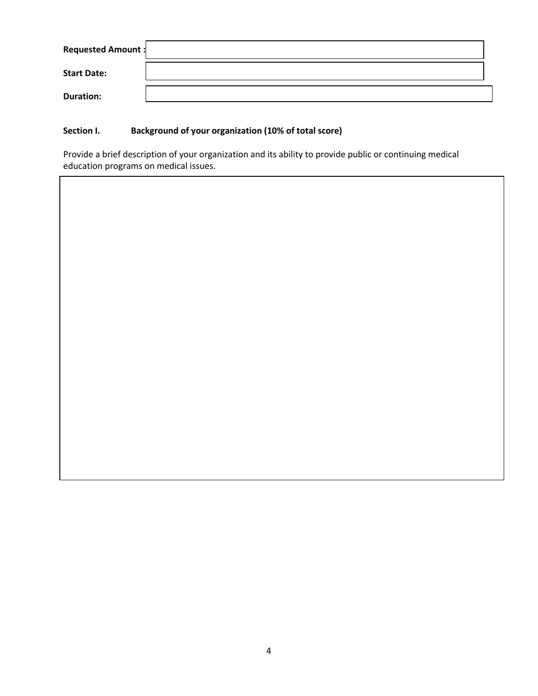| <b>Requested Amount:</b> |  |
|--------------------------|--|
| <b>Start Date:</b>       |  |
| <b>Duration:</b>         |  |

## **Section I. Background of your organization (10% of total score)**

Provide a brief description of your organization and its ability to provide public or continuing medical education programs on medical issues.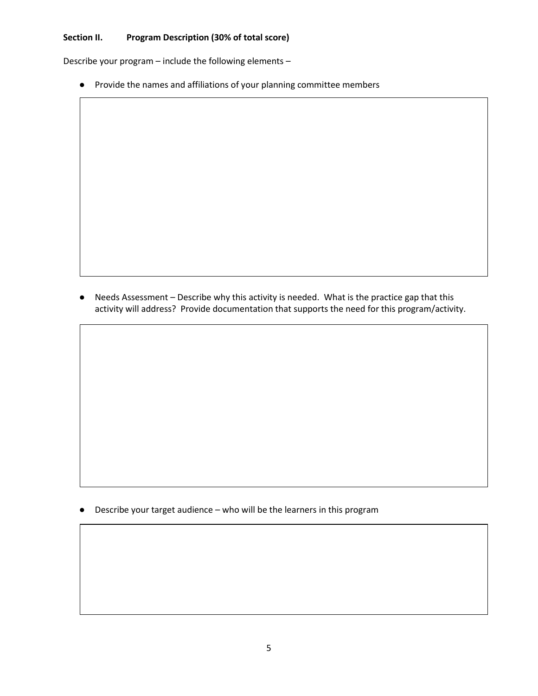#### **Section II. Program Description (30% of total score)**

Describe your program – include the following elements –

● Provide the names and affiliations of your planning committee members

● Needs Assessment – Describe why this activity is needed. What is the practice gap that this activity will address? Provide documentation that supports the need for this program/activity.

● Describe your target audience – who will be the learners in this program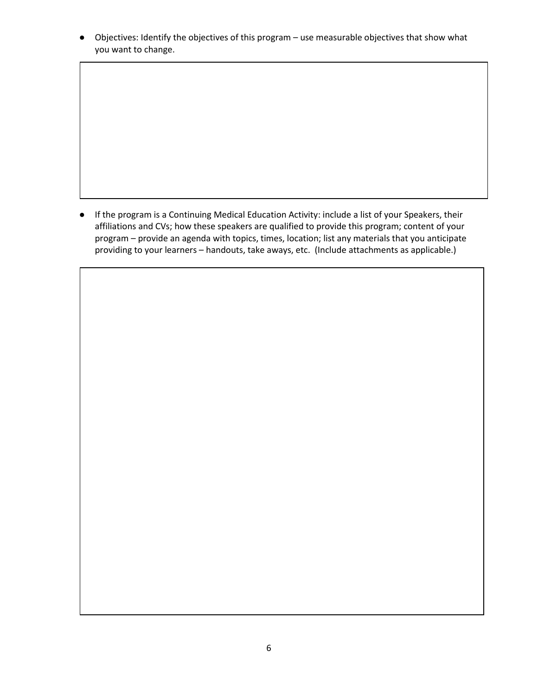● Objectives: Identify the objectives of this program – use measurable objectives that show what you want to change.

● If the program is a Continuing Medical Education Activity: include a list of your Speakers, their affiliations and CVs; how these speakers are qualified to provide this program; content of your program – provide an agenda with topics, times, location; list any materials that you anticipate providing to your learners – handouts, take aways, etc. (Include attachments as applicable.)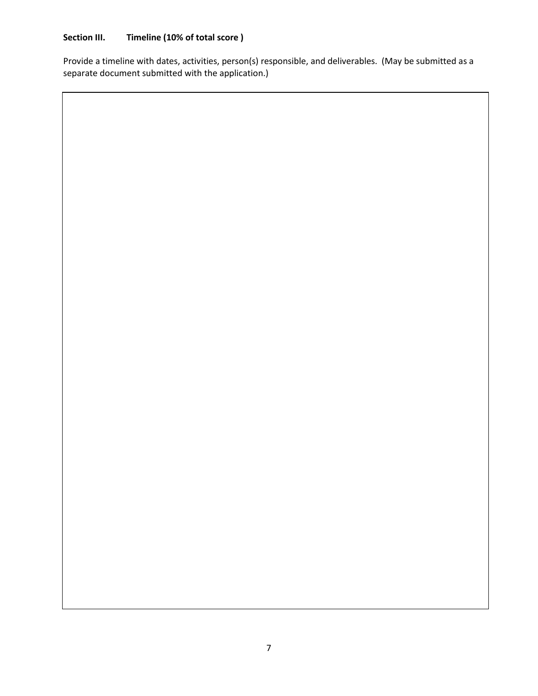## **Section III. Timeline (10% of total score )**

Provide a timeline with dates, activities, person(s) responsible, and deliverables. (May be submitted as a separate document submitted with the application.)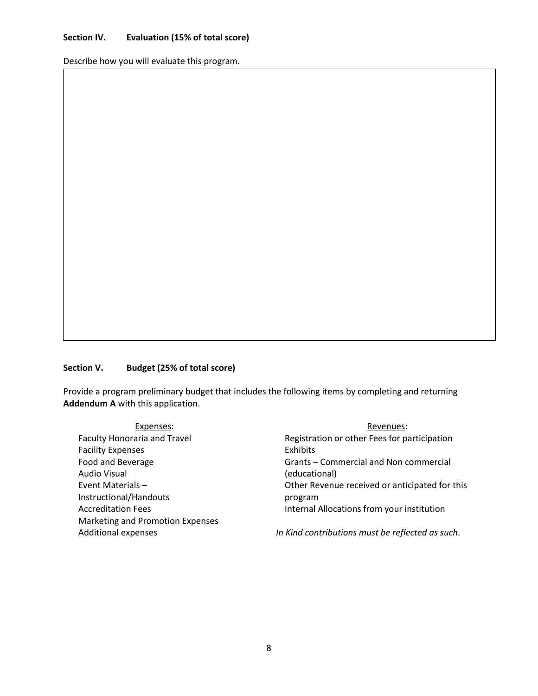#### **Section IV. Evaluation (15% of total score)**

Describe how you will evaluate this program.

## **Section V. Budget (25% of total score)**

Provide a program preliminary budget that includes the following items by completing and returning **Addendum A** with this application.

| Expenses:                           | Revenues:                                        |  |
|-------------------------------------|--------------------------------------------------|--|
| <b>Faculty Honoraria and Travel</b> | Registration or other Fees for participation     |  |
| <b>Facility Expenses</b>            | Exhibits                                         |  |
| Food and Beverage                   | Grants – Commercial and Non commercial           |  |
| Audio Visual                        | (educational)                                    |  |
| Event Materials -                   | Other Revenue received or anticipated for this   |  |
| Instructional/Handouts              | program                                          |  |
| <b>Accreditation Fees</b>           | Internal Allocations from your institution       |  |
| Marketing and Promotion Expenses    |                                                  |  |
| <b>Additional expenses</b>          | In Kind contributions must be reflected as such. |  |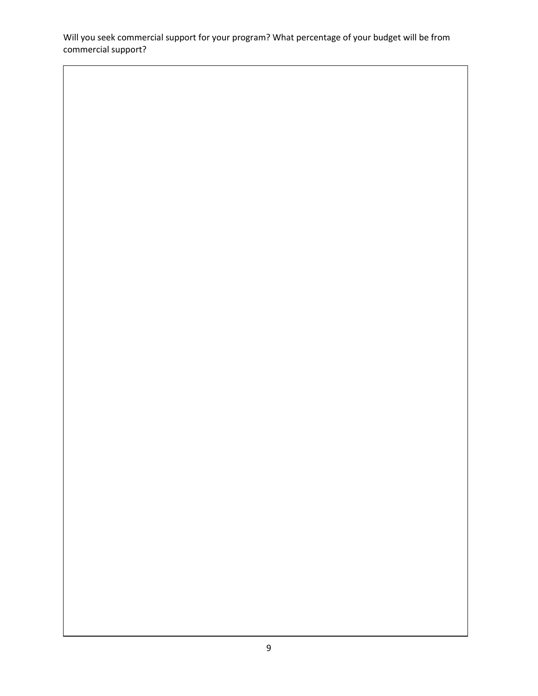Will you seek commercial support for your program? What percentage of your budget will be from commercial support?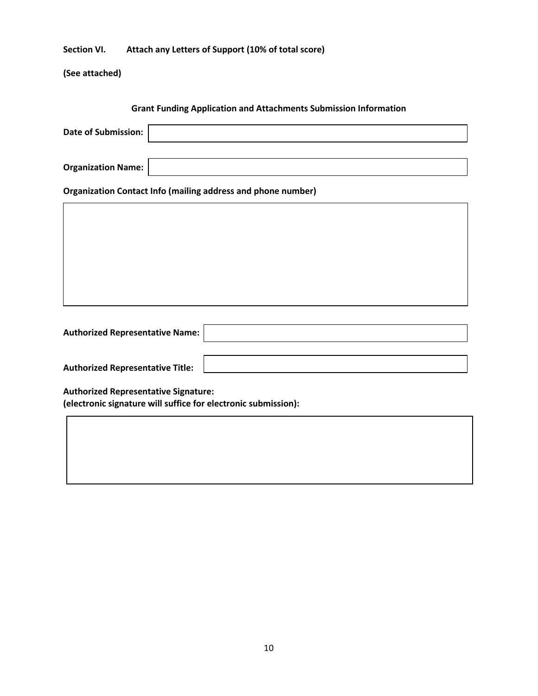**Section VI. Attach any Letters of Support (10% of total score)**

**(See attached)**

**Grant Funding Application and Attachments Submission Information Date of Submission: Organization Name: Organization Contact Info (mailing address and phone number) Authorized Representative Name: Authorized Representative Title: Authorized Representative Signature: (electronic signature will suffice for electronic submission):**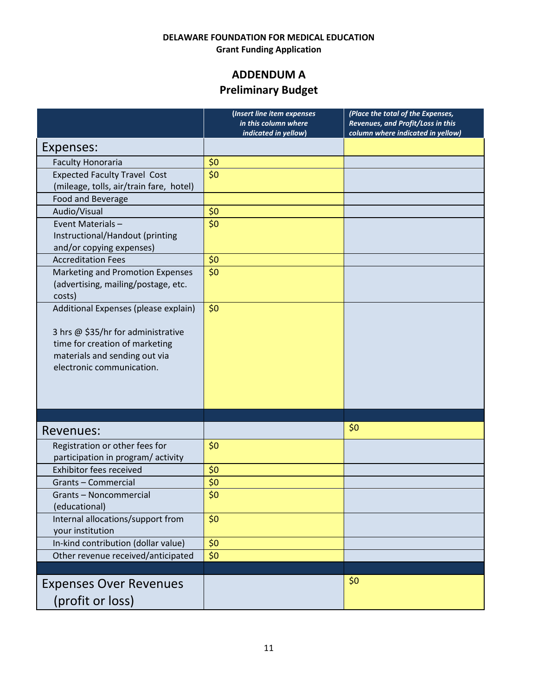## **DELAWARE FOUNDATION FOR MEDICAL EDUCATION Grant Funding Application**

# **ADDENDUM A**

## **Preliminary Budget**

|                                                                      | (Insert line item expenses<br>in this column where<br>indicated in yellow) | (Place the total of the Expenses,<br>Revenues, and Profit/Loss in this<br>column where indicated in yellow) |
|----------------------------------------------------------------------|----------------------------------------------------------------------------|-------------------------------------------------------------------------------------------------------------|
| Expenses:                                                            |                                                                            |                                                                                                             |
| <b>Faculty Honoraria</b>                                             | \$0                                                                        |                                                                                                             |
| <b>Expected Faculty Travel Cost</b>                                  | \$0                                                                        |                                                                                                             |
| (mileage, tolls, air/train fare, hotel)                              |                                                                            |                                                                                                             |
| Food and Beverage                                                    |                                                                            |                                                                                                             |
| Audio/Visual                                                         | \$0                                                                        |                                                                                                             |
| Event Materials-                                                     | \$0                                                                        |                                                                                                             |
| Instructional/Handout (printing<br>and/or copying expenses)          |                                                                            |                                                                                                             |
| <b>Accreditation Fees</b>                                            | \$0                                                                        |                                                                                                             |
| Marketing and Promotion Expenses                                     | \$0                                                                        |                                                                                                             |
| (advertising, mailing/postage, etc.                                  |                                                                            |                                                                                                             |
| costs)                                                               |                                                                            |                                                                                                             |
| Additional Expenses (please explain)                                 | \$0                                                                        |                                                                                                             |
|                                                                      |                                                                            |                                                                                                             |
| 3 hrs @ \$35/hr for administrative<br>time for creation of marketing |                                                                            |                                                                                                             |
| materials and sending out via                                        |                                                                            |                                                                                                             |
| electronic communication.                                            |                                                                            |                                                                                                             |
|                                                                      |                                                                            |                                                                                                             |
|                                                                      |                                                                            |                                                                                                             |
|                                                                      |                                                                            |                                                                                                             |
|                                                                      |                                                                            |                                                                                                             |
| Revenues:                                                            |                                                                            | \$0                                                                                                         |
| Registration or other fees for                                       | \$0                                                                        |                                                                                                             |
| participation in program/activity                                    |                                                                            |                                                                                                             |
| <b>Exhibitor fees received</b>                                       | \$0                                                                        |                                                                                                             |
| Grants - Commercial                                                  | \$0<br>\$0                                                                 |                                                                                                             |
| Grants - Noncommercial<br>(educational)                              |                                                                            |                                                                                                             |
| Internal allocations/support from                                    | \$0                                                                        |                                                                                                             |
| your institution                                                     |                                                                            |                                                                                                             |
| In-kind contribution (dollar value)                                  | \$0                                                                        |                                                                                                             |
| Other revenue received/anticipated                                   | \$0                                                                        |                                                                                                             |
|                                                                      |                                                                            | \$0                                                                                                         |
| <b>Expenses Over Revenues</b>                                        |                                                                            |                                                                                                             |
| (profit or loss)                                                     |                                                                            |                                                                                                             |